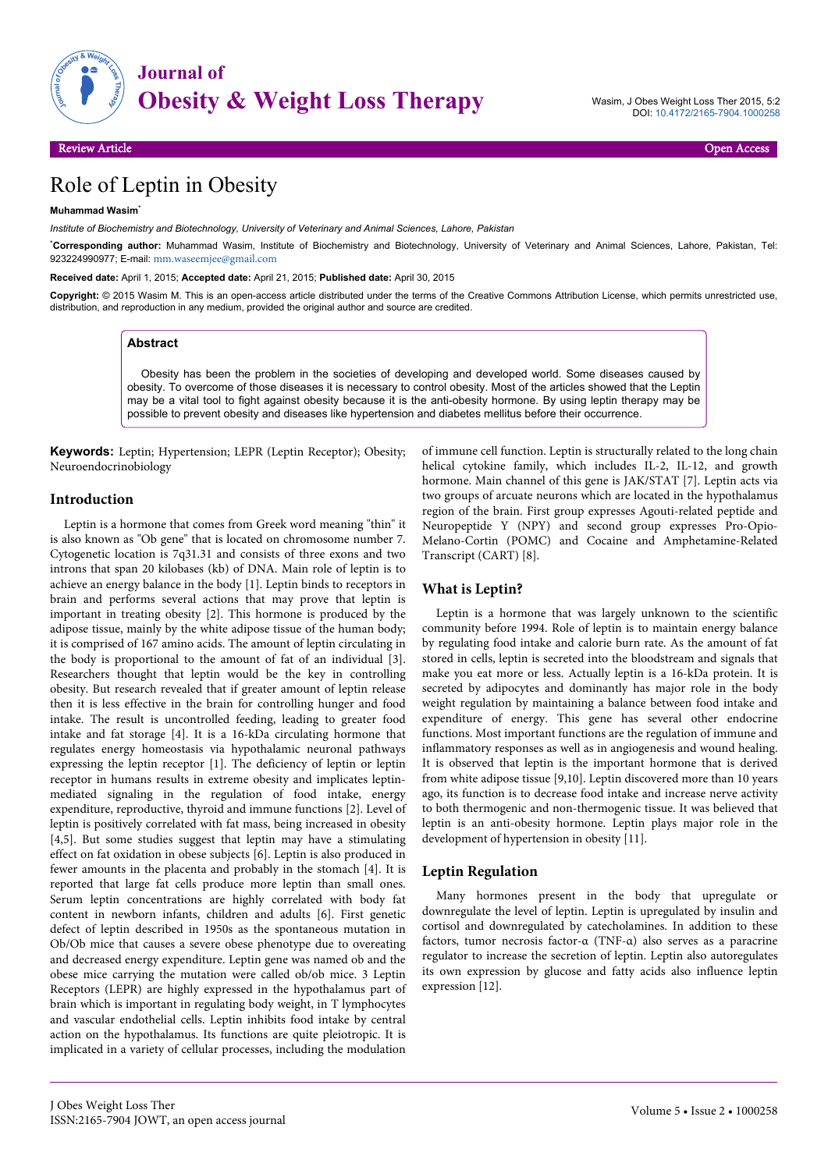

Wasim, J Obes Weight Loss Ther 2015, 5:2 DOI: 10.4172/2165-7904.1000258

# Role of Leptin in Obesity

#### **Muhammad Wasim**\*

*Institute of Biochemistry and Biotechnology, University of Veterinary and Animal Sciences, Lahore, Pakistan*

\***Corresponding author:** Muhammad Wasim, Institute of Biochemistry and Biotechnology, University of Veterinary and Animal Sciences, Lahore, Pakistan, Tel: 923224990977; E-mail: [mm.waseemjee@gmail.com](mailto:mm.waseemjee@gmail.com)

**Received date:** April 1, 2015; **Accepted date:** April 21, 2015; **Published date:** April 30, 2015

Copyright: © 2015 Wasim M. This is an open-access article distributed under the terms of the Creative Commons Attribution License, which permits unrestricted use, distribution, and reproduction in any medium, provided the original author and source are credited.

#### **Abstract**

Obesity has been the problem in the societies of developing and developed world. Some diseases caused by obesity. To overcome of those diseases it is necessary to control obesity. Most of the articles showed that the Leptin may be a vital tool to fight against obesity because it is the anti-obesity hormone. By using leptin therapy may be possible to prevent obesity and diseases like hypertension and diabetes mellitus before their occurrence.

**Keywords:** Leptin; Hypertension; LEPR (Leptin Receptor); Obesity; Neuroendocrinobiology

### **Introduction**

Leptin is a hormone that comes from Greek word meaning "thin" it is also known as "Ob gene" that is located on chromosome number 7. Cytogenetic location is 7q31.31 and consists of three exons and two introns that span 20 kilobases (kb) of DNA. Main role of leptin is to achieve an energy balance in the body [1]. Leptin binds to receptors in brain and performs several actions that may prove that leptin is important in treating obesity [2]. This hormone is produced by the adipose tissue, mainly by the white adipose tissue of the human body; it is comprised of 167 amino acids. The amount of leptin circulating in the body is proportional to the amount of fat of an individual [3]. Researchers thought that leptin would be the key in controlling obesity. But research revealed that if greater amount of leptin release then it is less effective in the brain for controlling hunger and food intake. The result is uncontrolled feeding, leading to greater food intake and fat storage [4]. It is a 16-kDa circulating hormone that regulates energy homeostasis via hypothalamic neuronal pathways expressing the leptin receptor [1]. The deficiency of leptin or leptin receptor in humans results in extreme obesity and implicates leptinmediated signaling in the regulation of food intake, energy expenditure, reproductive, thyroid and immune functions [2]. Level of leptin is positively correlated with fat mass, being increased in obesity [4,5]. But some studies suggest that leptin may have a stimulating effect on fat oxidation in obese subjects [6]. Leptin is also produced in fewer amounts in the placenta and probably in the stomach [4]. It is reported that large fat cells produce more leptin than small ones. Serum leptin concentrations are highly correlated with body fat content in newborn infants, children and adults [6]. First genetic defect of leptin described in 1950s as the spontaneous mutation in Ob/Ob mice that causes a severe obese phenotype due to overeating and decreased energy expenditure. Leptin gene was named ob and the obese mice carrying the mutation were called ob/ob mice. 3 Leptin Receptors (LEPR) are highly expressed in the hypothalamus part of brain which is important in regulating body weight, in T lymphocytes and vascular endothelial cells. Leptin inhibits food intake by central action on the hypothalamus. Its functions are quite pleiotropic. It is implicated in a variety of cellular processes, including the modulation

of immune cell function. Leptin is structurally related to the long chain helical cytokine family, which includes IL-2, IL-12, and growth hormone. Main channel of this gene is JAK/STAT [7]. Leptin acts via two groups of arcuate neurons which are located in the hypothalamus region of the brain. First group expresses Agouti-related peptide and Neuropeptide Y (NPY) and second group expresses Pro-Opio-Melano-Cortin (POMC) and Cocaine and Amphetamine-Related Transcript (CART) [8].

### **What is Leptin?**

Leptin is a hormone that was largely unknown to the scientific community before 1994. Role of leptin is to maintain energy balance by regulating food intake and calorie burn rate. As the amount of fat stored in cells, leptin is secreted into the bloodstream and signals that make you eat more or less. Actually leptin is a 16-kDa protein. It is secreted by adipocytes and dominantly has major role in the body weight regulation by maintaining a balance between food intake and expenditure of energy. This gene has several other endocrine functions. Most important functions are the regulation of immune and inflammatory responses as well as in angiogenesis and wound healing. It is observed that leptin is the important hormone that is derived from white adipose tissue [9,10]. Leptin discovered more than 10 years ago, its function is to decrease food intake and increase nerve activity to both thermogenic and non-thermogenic tissue. It was believed that leptin is an anti-obesity hormone. Leptin plays major role in the development of hypertension in obesity [11].

#### **Leptin Regulation**

Many hormones present in the body that upregulate or downregulate the level of leptin. Leptin is upregulated by insulin and cortisol and downregulated by catecholamines. In addition to these factors, tumor necrosis factor-α (TNF-α) also serves as a paracrine regulator to increase the secretion of leptin. Leptin also autoregulates its own expression by glucose and fatty acids also influence leptin expression [12].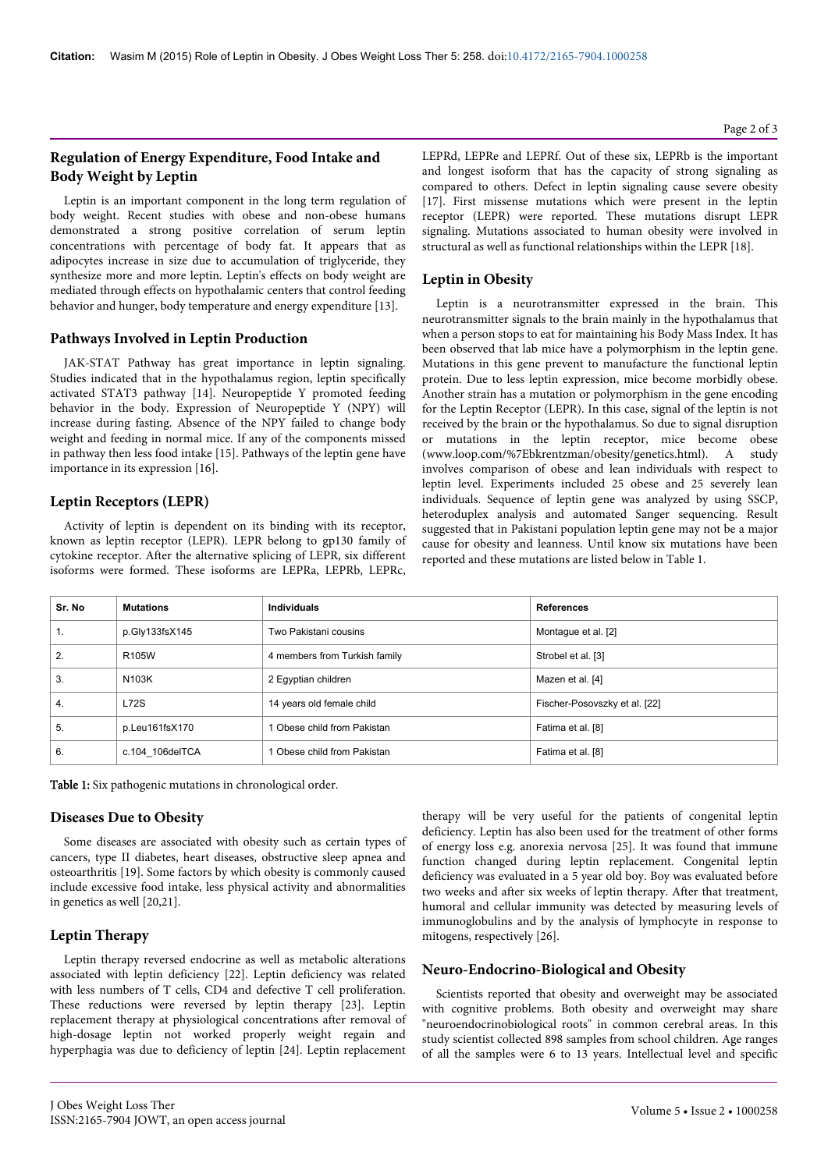# **Regulation of Energy Expenditure, Food Intake and Body Weight by Leptin**

Leptin is an important component in the long term regulation of body weight. Recent studies with obese and non-obese humans demonstrated a strong positive correlation of serum leptin concentrations with percentage of body fat. It appears that as adipocytes increase in size due to accumulation of triglyceride, they synthesize more and more leptin. Leptin's effects on body weight are mediated through effects on hypothalamic centers that control feeding behavior and hunger, body temperature and energy expenditure [13].

### **Pathways Involved in Leptin Production**

JAK-STAT Pathway has great importance in leptin signaling. Studies indicated that in the hypothalamus region, leptin specifically activated STAT3 pathway [14]. Neuropeptide Y promoted feeding behavior in the body. Expression of Neuropeptide Y (NPY) will increase during fasting. Absence of the NPY failed to change body weight and feeding in normal mice. If any of the components missed in pathway then less food intake [15]. Pathways of the leptin gene have importance in its expression [16].

# **Leptin Receptors (LEPR)**

Activity of leptin is dependent on its binding with its receptor, known as leptin receptor (LEPR). LEPR belong to gp130 family of cytokine receptor. After the alternative splicing of LEPR, six different isoforms were formed. These isoforms are LEPRa, LEPRb, LEPRc,

LEPRd, LEPRe and LEPRf. Out of these six, LEPRb is the important and longest isoform that has the capacity of strong signaling as compared to others. Defect in leptin signaling cause severe obesity [17]. First missense mutations which were present in the leptin receptor (LEPR) were reported. These mutations disrupt LEPR signaling. Mutations associated to human obesity were involved in structural as well as functional relationships within the LEPR [18].

# **Leptin in Obesity**

Leptin is a neurotransmitter expressed in the brain. This neurotransmitter signals to the brain mainly in the hypothalamus that when a person stops to eat for maintaining his Body Mass Index. It has been observed that lab mice have a polymorphism in the leptin gene. Mutations in this gene prevent to manufacture the functional leptin protein. Due to less leptin expression, mice become morbidly obese. Another strain has a mutation or polymorphism in the gene encoding for the Leptin Receptor (LEPR). In this case, signal of the leptin is not received by the brain or the hypothalamus. So due to signal disruption or mutations in the leptin receptor, mice become obese (www.loop.com/%7Ebkrentzman/obesity/genetics.html). A study involves comparison of obese and lean individuals with respect to leptin level. Experiments included 25 obese and 25 severely lean individuals. Sequence of leptin gene was analyzed by using SSCP, heteroduplex analysis and automated Sanger sequencing. Result suggested that in Pakistani population leptin gene may not be a major cause for obesity and leanness. Until know six mutations have been reported and these mutations are listed below in Table 1.

| Sr. No | <b>Mutations</b> | <b>Individuals</b>            | <b>References</b>             |
|--------|------------------|-------------------------------|-------------------------------|
| 1.     | p.Gly133fsX145   | Two Pakistani cousins         | Montague et al. [2]           |
| 2.     | R105W            | 4 members from Turkish family | Strobel et al. [3]            |
| 3.     | N103K            | 2 Eqyptian children           | Mazen et al. [4]              |
| 4.     | L72S             | 14 years old female child     | Fischer-Posovszky et al. [22] |
| 5.     | p.Leu161fsX170   | 1 Obese child from Pakistan   | Fatima et al. [8]             |
| 6.     | c.104 106delTCA  | 1 Obese child from Pakistan   | Fatima et al. [8]             |

Table 1: Six pathogenic mutations in chronological order.

### **Diseases Due to Obesity**

Some diseases are associated with obesity such as certain types of cancers, type II diabetes, heart diseases, obstructive sleep apnea and osteoarthritis [19]. Some factors by which obesity is commonly caused include excessive food intake, less physical activity and abnormalities in genetics as well [20,21].

### **Leptin Therapy**

Leptin therapy reversed endocrine as well as metabolic alterations associated with leptin deficiency [22]. Leptin deficiency was related with less numbers of T cells, CD4 and defective T cell proliferation. These reductions were reversed by leptin therapy [23]. Leptin replacement therapy at physiological concentrations after removal of high-dosage leptin not worked properly weight regain and hyperphagia was due to deficiency of leptin [24]. Leptin replacement therapy will be very useful for the patients of congenital leptin deficiency. Leptin has also been used for the treatment of other forms of energy loss e.g. anorexia nervosa [25]. It was found that immune function changed during leptin replacement. Congenital leptin deficiency was evaluated in a 5 year old boy. Boy was evaluated before two weeks and after six weeks of leptin therapy. After that treatment, humoral and cellular immunity was detected by measuring levels of immunoglobulins and by the analysis of lymphocyte in response to mitogens, respectively [26].

### **Neuro-Endocrino-Biological and Obesity**

Scientists reported that obesity and overweight may be associated with cognitive problems. Both obesity and overweight may share "neuroendocrinobiological roots" in common cerebral areas. In this study scientist collected 898 samples from school children. Age ranges of all the samples were 6 to 13 years. Intellectual level and specific